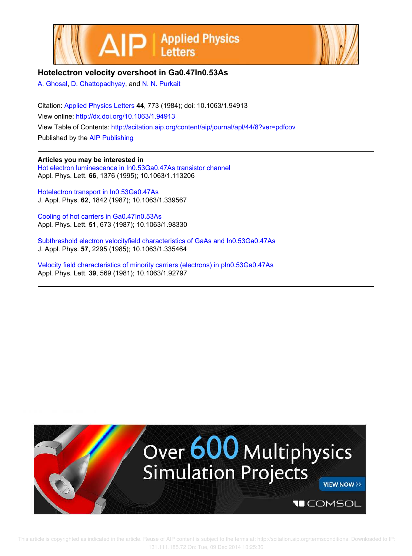



## **Hotelectron velocity overshoot in Ga0.47In0.53As**

A. Ghosal, D. Chattopadhyay, and N. N. Purkait

Citation: Applied Physics Letters **44**, 773 (1984); doi: 10.1063/1.94913 View online: http://dx.doi.org/10.1063/1.94913 View Table of Contents: http://scitation.aip.org/content/aip/journal/apl/44/8?ver=pdfcov Published by the AIP Publishing

## **Articles you may be interested in**

Hot electron luminescence in In0.53Ga0.47As transistor channel Appl. Phys. Lett. **66**, 1376 (1995); 10.1063/1.113206

Hotelectron transport in In0.53Ga0.47As J. Appl. Phys. **62**, 1842 (1987); 10.1063/1.339567

Cooling of hot carriers in Ga0.47In0.53As Appl. Phys. Lett. **51**, 673 (1987); 10.1063/1.98330

Subthreshold electron velocityfield characteristics of GaAs and In0.53Ga0.47As J. Appl. Phys. **57**, 2295 (1985); 10.1063/1.335464

Velocity field characteristics of minority carriers (electrons) in pIn0.53Ga0.47As Appl. Phys. Lett. **39**, 569 (1981); 10.1063/1.92797

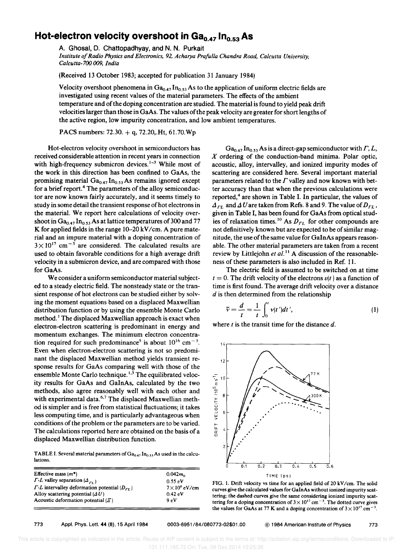## Hot-electron velocity overshoot in Ga<sub>0.47</sub> In<sub>0.53</sub> As

A. Ghosal, D. Chattopadhyay, and N. N. Purkait *Institute of Radio Physics and Electronics,* 92, *Acharya Prafulla Chandra Road, Calcutta University, Calcutta-7oo* 009, *India* 

(Received 13 October 1983; accepted for publication 31 January 1984)

Velocity overshoot phenomena in  $Ga_{0.47}$   $In_{0.53}$  As to the application of uniform electric fields are investigated using recent values of the material parameters. The effects of the ambient temperature and of the doping concentration are studied. The material is found to yield peak drift velocities larger than those in GaAs. The values of the peak velocity are greater for short lengths of the active region, low impurity concentration, and low ambient temperatures.

PACS numbers:  $72.30. + q$ ,  $72.20$ , Ht,  $61.70$ . Wp

Hot-electron velocity overshoot in semiconductors has received considerable attention in recent years in connection with high-frequency submicron devices. $1-3$  While most of the work in this direction has been confined to GaAs, the promising material  $Ga_{0.47}$   $In_{0.53}$  As remains ignored except for a brief report.<sup>4</sup> The parameters of the alloy semiconductor are now known fairly accurately, and it seems timely to study in some detail the transient response of hot electrons in the material. We report here calculations of velocity overshoot in  $Ga_{0.47}$  In<sub>0.53</sub> As at lattice temperatures of 300 and 77 K for applied fields in the range  $10-20$  kV/cm. A pure material and an impure material with a doping concentration of  $3 \times 10^{17}$  cm<sup>-3</sup> are considered. The calculated results are used to obtain favorable conditions for a high average drift velocity in a submicron device, and are compared with those for GaAs.

We consider a uniform semiconductor material subjected to a steady electric field. The nonsteady state or the transient response of hot electrons can be studied either by solving the moment equations based on a displaced Maxwellian distribution function or by using the ensemble Monte Carlo method.<sup>1</sup> The displaced Maxwellian approach is exact when electron-electron scattering is predominant in energy and momentum exchanges. The minimum electron concentration required for such predominance<sup>5</sup> is about  $10^{16}$  cm<sup>-3</sup>. Even when electron-electron scattering is not so predominant the displaced Maxwellian method yields transient response results for GaAs comparing well with those of the ensemble Monte Carlo technique.<sup>1,3</sup> The equilibrated velocity results for GaAs and GaInAs, calculated by the two methods, also agree reasonably well with each other and with experimental data.<sup>6,7</sup> The displaced Maxwellian method is simpler and is free from statistical fluctuations; it takes less computing time, and is particularly advantageous when conditions of the problem or the parameters are to be varied. The calculations reported here are obtained on the basis of a displaced Maxwellian distribution function.

TABLE I. Several material parameters of  $Ga_{0.47}$  In<sub>0.53</sub> As used in the calculations.

| Effective mass $(m^*)$                                                 | $0.042m_0$          |
|------------------------------------------------------------------------|---------------------|
| $\Gamma$ - <i>L</i> valley separation ( $\Delta_{\Gamma}$ )            | 0.55eV              |
| $\Gamma$ - <i>L</i> intervalley deformation potential ( $D_{\Gamma}$ ) | $7\times10^8$ eV/cm |
| Alloy scattering potential $(\Delta U)$                                | 0.42 eV             |
| Acoustic deformation potential $(\mathcal{E})$                         | 9eV                 |

 $Ga_{0.47}$  In<sub>0.53</sub> As is a direct-gap semiconductor with  $\Gamma$ , L, X ordering of the conduction-band minima. Polar optic, acoustic, alloy, intervalley, and ionized impurity modes of scattering are considered here. Several important material parameters related to the  $\Gamma$  valley and now known with better accuracy than that when the previous calculations were reported,<sup>4</sup> are shown in Table I. In particular, the values of  $\Delta_{\Gamma L}$  and  $\Delta U$  are taken from Refs. 8 and 9. The value of  $D_{\Gamma L}$ , given in Table I, has been found for GaAs from optical studies of relaxation times.<sup>10</sup> As  $D_{LL}$  for other compounds are not definitively known but are expected to be of similar magnitude, the use of the same value for GaInAs appears reasonable. The other material parameters are taken from a recent review by Littlejohn *et al.*<sup>11</sup> A discussion of the reasonableness of these parameters is also included in Ref. 11.

The electric field is assumed to be switched on at time  $t = 0$ . The drift velocity of the electrons  $v(t)$  as a function of time is first found. The average drift velocity over a distance

*d* is then determined from the relationship  
\n
$$
\bar{v} = \frac{d}{t} = \frac{1}{t} \int_0^t v(t')dt',
$$
\n(1)

where  $t$  is the transit time for the distance  $d$ .



FIG. 1. Drift velocity vs time for an applied field of 20 kV/cm. The solid curves give the calculated values for GalnAs without ionized impurity scattering; the dashed curves give the same considering ionized impurity scattering for a doping concentration of  $3 \times 10^{17}$  cm<sup>-3</sup>. The dotted curve gives the values for GaAs at 77 K and a doping concentration of  $3 \times 10^{17}$  cm<sup>-</sup> •

773 Appl. Phys. Lett. **44** (8). 15 April 1984 0003-6951/84/080773-02\$01.00 @ 1984 American Institute of Physics 773